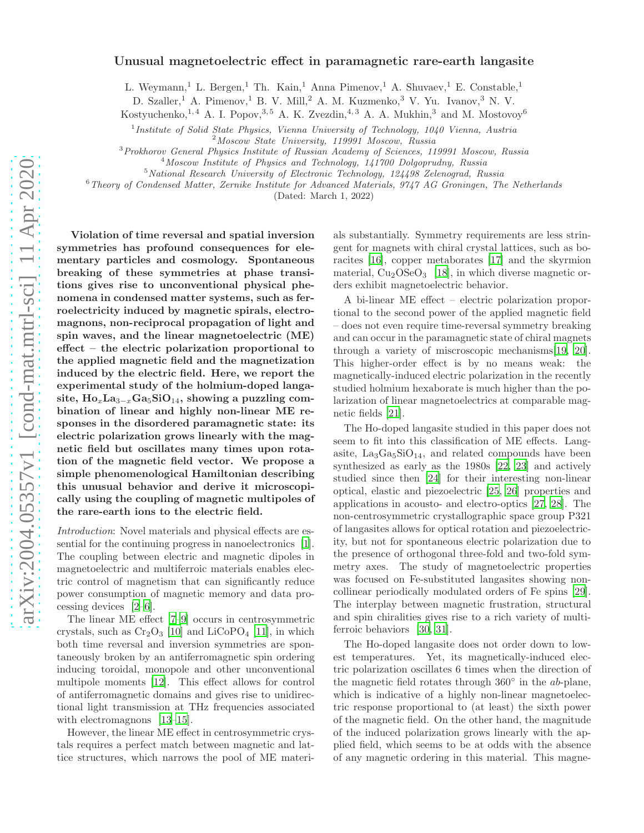# Unusual magnetoelectric effect in paramagnetic rare-earth langasite

L. Weymann,<sup>1</sup> L. Bergen,<sup>1</sup> Th. Kain,<sup>1</sup> Anna Pimenov,<sup>1</sup> A. Shuvaev,<sup>1</sup> E. Constable,<sup>1</sup>

D. Szaller,<sup>1</sup> A. Pimenov,<sup>1</sup> B. V. Mill,<sup>2</sup> A. M. Kuzmenko,<sup>3</sup> V. Yu. Ivanov,<sup>3</sup> N. V.

Kostyuchenko,<sup>1,4</sup> A. I. Popov,<sup>3,5</sup> A. K. Zvezdin,<sup>4,3</sup> A. A. Mukhin,<sup>3</sup> and M. Mostovoy<sup>6</sup>

<sup>1</sup>Institute of Solid State Physics, Vienna University of Technology, 1040 Vienna, Austria

<sup>2</sup>Moscow State University, 119991 Moscow, Russia

<sup>3</sup>Prokhorov General Physics Institute of Russian Academy of Sciences, 119991 Moscow, Russia

<sup>4</sup>Moscow Institute of Physics and Technology, 141700 Dolgoprudny, Russia

 $5$ National Research University of Electronic Technology, 124498 Zelenograd, Russia

 $6$ Theory of Condensed Matter, Zernike Institute for Advanced Materials, 9747 AG Groningen, The Netherlands

(Dated: March 1, 2022)

Violation of time reversal and spatial inversion symmetries has profound consequences for elementary particles and cosmology. Spontaneous breaking of these symmetries at phase transitions gives rise to unconventional physical phenomena in condensed matter systems, such as ferroelectricity induced by magnetic spirals, electromagnons, non-reciprocal propagation of light and spin waves, and the linear magnetoelectric (ME) effect – the electric polarization proportional to the applied magnetic field and the magnetization induced by the electric field. Here, we report the experimental study of the holmium-doped langasite,  $\text{Ho}_{x}\text{La}_{3-x}\text{Ga}_{5}\text{SiO}_{14}$ , showing a puzzling combination of linear and highly non-linear ME responses in the disordered paramagnetic state: its electric polarization grows linearly with the magnetic field but oscillates many times upon rotation of the magnetic field vector. We propose a simple phenomenological Hamiltonian describing this unusual behavior and derive it microscopically using the coupling of magnetic multipoles of the rare-earth ions to the electric field.

Introduction: Novel materials and physical effects are essential for the continuing progress in nanoelectronics [\[1\]](#page-6-0). The coupling between electric and magnetic dipoles in magnetoelectric and multiferroic materials enables electric control of magnetism that can significantly reduce power consumption of magnetic memory and data processing devices [\[2](#page-6-1)[–6\]](#page-6-2).

The linear ME effect [\[7](#page-6-3)[–9](#page-6-4)] occurs in centrosymmetric crystals, such as  $Cr_2O_3$  [\[10\]](#page-6-5) and LiCoPO<sub>4</sub> [\[11\]](#page-6-6), in which both time reversal and inversion symmetries are spontaneously broken by an antiferromagnetic spin ordering inducing toroidal, monopole and other unconventional multipole moments [\[12\]](#page-6-7). This effect allows for control of antiferromagnetic domains and gives rise to unidirectional light transmission at THz frequencies associated with electromagnons [\[13](#page-6-8)[–15](#page-6-9)].

However, the linear ME effect in centrosymmetric crystals requires a perfect match between magnetic and lattice structures, which narrows the pool of ME materi-

als substantially. Symmetry requirements are less stringent for magnets with chiral crystal lattices, such as boracites [\[16\]](#page-6-10), copper metaborates [\[17\]](#page-6-11) and the skyrmion material,  $Cu<sub>2</sub>OSeO<sub>3</sub>$  [\[18\]](#page-6-12), in which diverse magnetic orders exhibit magnetoelectric behavior.

A bi-linear ME effect – electric polarization proportional to the second power of the applied magnetic field – does not even require time-reversal symmetry breaking and can occur in the paramagnetic state of chiral magnets through a variety of miscroscopic mechanisms[\[19,](#page-6-13) [20\]](#page-6-14). This higher-order effect is by no means weak: the magnetically-induced electric polarization in the recently studied holmium hexaborate is much higher than the polarization of linear magnetoelectrics at comparable magnetic fields [\[21\]](#page-6-15).

The Ho-doped langasite studied in this paper does not seem to fit into this classification of ME effects. Langasite,  $La<sub>3</sub>Ga<sub>5</sub>SiO<sub>14</sub>$ , and related compounds have been synthesized as early as the 1980s [\[22](#page-6-16), [23\]](#page-7-0) and actively studied since then [\[24](#page-7-1)] for their interesting non-linear optical, elastic and piezoelectric [\[25,](#page-7-2) [26\]](#page-7-3) properties and applications in acousto- and electro-optics [\[27,](#page-7-4) [28](#page-7-5)]. The non-centrosymmetric crystallographic space group P321 of langasites allows for optical rotation and piezoelectricity, but not for spontaneous electric polarization due to the presence of orthogonal three-fold and two-fold symmetry axes. The study of magnetoelectric properties was focused on Fe-substituted langasites showing noncollinear periodically modulated orders of Fe spins [\[29\]](#page-7-6). The interplay between magnetic frustration, structural and spin chiralities gives rise to a rich variety of multiferroic behaviors [\[30,](#page-7-7) [31\]](#page-7-8).

The Ho-doped langasite does not order down to lowest temperatures. Yet, its magnetically-induced electric polarization oscillates 6 times when the direction of the magnetic field rotates through 360◦ in the ab-plane, which is indicative of a highly non-linear magnetoelectric response proportional to (at least) the sixth power of the magnetic field. On the other hand, the magnitude of the induced polarization grows linearly with the applied field, which seems to be at odds with the absence of any magnetic ordering in this material. This magne-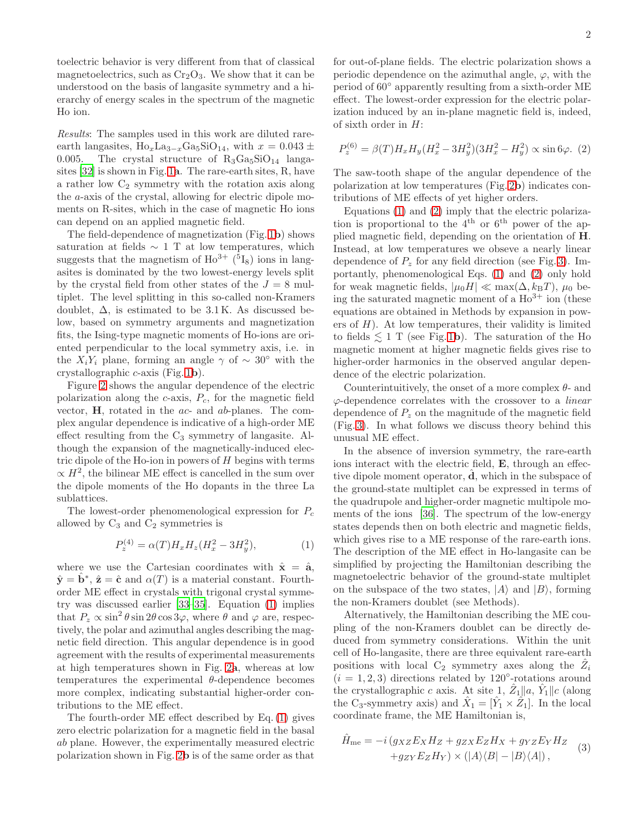2

toelectric behavior is very different from that of classical magnetoelectrics, such as  $Cr<sub>2</sub>O<sub>3</sub>$ . We show that it can be understood on the basis of langasite symmetry and a hierarchy of energy scales in the spectrum of the magnetic Ho ion.

Results: The samples used in this work are diluted rareearth langasites,  $\text{Ho}_x\text{La}_{3-x}\text{Ga}_5\text{SiO}_{14}$ , with  $x = 0.043 \pm 0.005$ . The crystal structure of  $\text{R}_3\text{Ga}_5\text{SiO}_{14}$  langa-The crystal structure of  $R_3Ga_5SiO_{14}$  langasites [\[32\]](#page-7-9) is shown in Fig. [1](#page-2-0)a. The rare-earth sites, R, have a rather low  $C_2$  symmetry with the rotation axis along the a-axis of the crystal, allowing for electric dipole moments on R-sites, which in the case of magnetic Ho ions can depend on an applied magnetic field.

The field-dependence of magnetization (Fig. [1](#page-2-0)b) shows saturation at fields  $\sim 1$  T at low temperatures, which suggests that the magnetism of  $Ho^{3+}$  (<sup>5</sup>I<sub>8</sub>) ions in langasites is dominated by the two lowest-energy levels split by the crystal field from other states of the  $J = 8$  multiplet. The level splitting in this so-called non-Kramers doublet,  $\Delta$ , is estimated to be 3.1K. As discussed below, based on symmetry arguments and magnetization fits, the Ising-type magnetic moments of Ho-ions are oriented perpendicular to the local symmetry axis, i.e. in the  $X_iY_i$  plane, forming an angle  $\gamma$  of  $\sim 30^{\circ}$  with the crystallographic c-axis (Fig. [1](#page-2-0)b).

Figure [2](#page-3-0) shows the angular dependence of the electric polarization along the  $c$ -axis,  $P_c$ , for the magnetic field vector,  $H$ , rotated in the  $ac$ - and  $ab$ -planes. The complex angular dependence is indicative of a high-order ME effect resulting from the  $C_3$  symmetry of langusite. Although the expansion of the magnetically-induced electric dipole of the Ho-ion in powers of  $H$  begins with terms  $\propto H^2$ , the bilinear ME effect is cancelled in the sum over the dipole moments of the Ho dopants in the three La sublattices.

The lowest-order phenomenological expression for  $P_c$ allowed by  $C_3$  and  $C_2$  symmetries is

<span id="page-1-0"></span>
$$
P_z^{(4)} = \alpha(T)H_xH_z(H_x^2 - 3H_y^2),\tag{1}
$$

where we use the Cartesian coordinates with  $\hat{\mathbf{x}} = \hat{\mathbf{a}}$ ,  $\hat{\mathbf{y}} = \hat{\mathbf{b}}^*, \ \hat{\mathbf{z}} = \hat{\mathbf{c}}$  and  $\alpha(T)$  is a material constant. Fourthorder ME effect in crystals with trigonal crystal symmetry was discussed earlier [\[33](#page-7-10)[–35\]](#page-7-11). Equation [\(1\)](#page-1-0) implies that  $P_z \propto \sin^2 \theta \sin 2\theta \cos 3\varphi$ , where  $\theta$  and  $\varphi$  are, respectively, the polar and azimuthal angles describing the magnetic field direction. This angular dependence is in good agreement with the results of experimental measurements at high temperatures shown in Fig. [2](#page-3-0)a, whereas at low temperatures the experimental  $\theta$ -dependence becomes more complex, indicating substantial higher-order contributions to the ME effect.

The fourth-order ME effect described by Eq. [\(1\)](#page-1-0) gives zero electric polarization for a magnetic field in the basal ab plane. However, the experimentally measured electric polarization shown in Fig. [2](#page-3-0)b is of the same order as that

for out-of-plane fields. The electric polarization shows a periodic dependence on the azimuthal angle,  $\varphi$ , with the period of 60◦ apparently resulting from a sixth-order ME effect. The lowest-order expression for the electric polarization induced by an in-plane magnetic field is, indeed, of sixth order in H:

<span id="page-1-1"></span>
$$
P_z^{(6)} = \beta(T)H_xH_y(H_x^2 - 3H_y^2)(3H_x^2 - H_y^2) \propto \sin 6\varphi.
$$
 (2)

The saw-tooth shape of the angular dependence of the polarization at low temperatures (Fig. [2](#page-3-0)b) indicates contributions of ME effects of yet higher orders.

Equations [\(1\)](#page-1-0) and [\(2\)](#page-1-1) imply that the electric polarization is proportional to the  $4<sup>th</sup>$  or  $6<sup>th</sup>$  power of the applied magnetic field, depending on the orientation of H. Instead, at low temperatures we obseve a nearly linear dependence of  $P_z$  for any field direction (see Fig. [3\)](#page-3-1). Importantly, phenomenological Eqs. [\(1\)](#page-1-0) and [\(2\)](#page-1-1) only hold for weak magnetic fields,  $|\mu_0 H| \ll \max(\Delta, k_B T)$ ,  $\mu_0$  being the saturated magnetic moment of a  $Ho^{3+}$  ion (these equations are obtained in Methods by expansion in powers of  $H$ ). At low temperatures, their validity is limited to fields  $\leq 1$  $\leq 1$  T (see Fig. 1b). The saturation of the Ho magnetic moment at higher magnetic fields gives rise to higher-order harmonics in the observed angular dependence of the electric polarization.

Counterintuitively, the onset of a more complex  $\theta$ - and  $\varphi$ -dependence correlates with the crossover to a *linear* dependence of  $P<sub>z</sub>$  on the magnitude of the magnetic field (Fig. [3\)](#page-3-1). In what follows we discuss theory behind this unusual ME effect.

In the absence of inversion symmetry, the rare-earth ions interact with the electric field, E, through an effective dipole moment operator,  $\overrightarrow{d}$ , which in the subspace of the ground-state multiplet can be expressed in terms of the quadrupole and higher-order magnetic multipole moments of the ions [\[36\]](#page-7-12). The spectrum of the low-energy states depends then on both electric and magnetic fields, which gives rise to a ME response of the rare-earth ions. The description of the ME effect in Ho-langasite can be simplified by projecting the Hamiltonian describing the magnetoelectric behavior of the ground-state multiplet on the subspace of the two states,  $|A\rangle$  and  $|B\rangle$ , forming the non-Kramers doublet (see Methods).

Alternatively, the Hamiltonian describing the ME coupling of the non-Kramers doublet can be directly deduced from symmetry considerations. Within the unit cell of Ho-langasite, there are three equivalent rare-earth positions with local  $C_2$  symmetry axes along the  $\hat{Z}_i$  $(i = 1, 2, 3)$  directions related by 120 $^{\circ}$ -rotations around the crystallographic c axis. At site 1,  $\hat{Z}_1 || a, \hat{Y}_1 || c$  (along the C<sub>3</sub>-symmetry axis) and  $\hat{X}_1 = [\hat{Y}_1 \times \hat{Z}_1]$ . In the local coordinate frame, the ME Hamiltonian is,

<span id="page-1-2"></span>
$$
\hat{H}_{\text{me}} = -i(g_{XZ}E_XH_Z + g_{ZX}E_ZH_X + g_{YZ}E_YH_Z \n+g_{ZY}E_ZH_Y) \times (|A\rangle\langle B| - |B\rangle\langle A|),
$$
\n(3)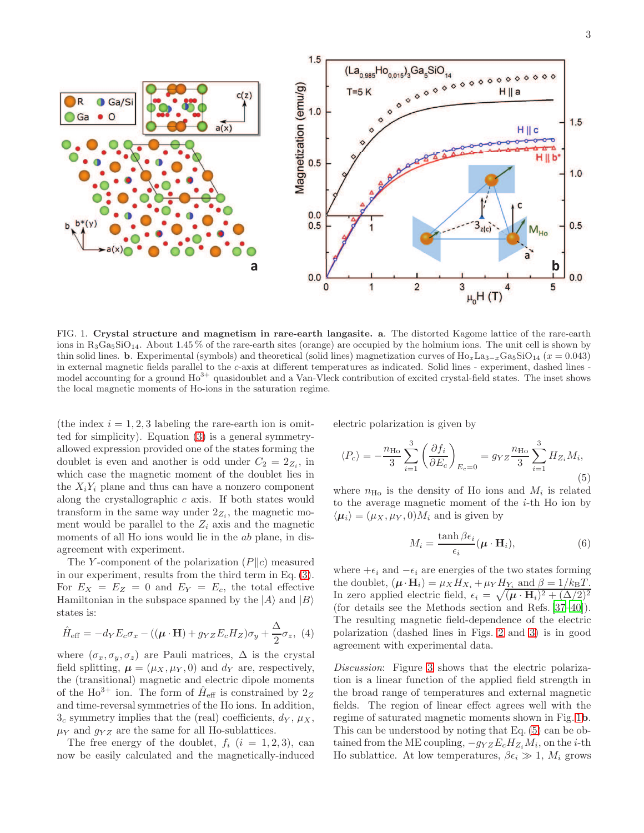

<span id="page-2-0"></span>FIG. 1. Crystal structure and magnetism in rare-earth langasite. a. The distorted Kagome lattice of the rare-earth ions in  $R_3Ga_5SiO_{14}$ . About 1.45 % of the rare-earth sites (orange) are occupied by the holmium ions. The unit cell is shown by thin solid lines. b. Experimental (symbols) and theoretical (solid lines) magnetization curves of  $\text{Ho}_{x}\text{La}_{3-x}\text{Ga}_{5}\text{SiO}_{14}$  ( $x = 0.043$ ) in external magnetic fields parallel to the c-axis at different temperatures as indicated. Solid lines - experiment, dashed lines model accounting for a ground  $Ho<sup>3+</sup>$  quasidoublet and a Van-Vleck contribution of excited crystal-field states. The inset shows the local magnetic moments of Ho-ions in the saturation regime.

(the index  $i = 1, 2, 3$  labeling the rare-earth ion is omitted for simplicity). Equation [\(3\)](#page-1-2) is a general symmetryallowed expression provided one of the states forming the doublet is even and another is odd under  $C_2 = 2_{Z_i}$ , in which case the magnetic moment of the doublet lies in the  $X_iY_i$  plane and thus can have a nonzero component along the crystallographic c axis. If both states would transform in the same way under  $2_{Z_i}$ , the magnetic moment would be parallel to the  $Z_i$  axis and the magnetic moments of all Ho ions would lie in the ab plane, in disagreement with experiment.

The Y-component of the polarization  $(P||c)$  measured in our experiment, results from the third term in Eq. [\(3\)](#page-1-2). For  $E_X = E_Z = 0$  and  $E_Y = E_c$ , the total effective Hamiltonian in the subspace spanned by the  $|A\rangle$  and  $|B\rangle$ states is:

<span id="page-2-2"></span>
$$
\hat{H}_{\text{eff}} = -d_Y E_c \sigma_x - ((\boldsymbol{\mu} \cdot \mathbf{H}) + g_{YZ} E_c H_Z) \sigma_y + \frac{\Delta}{2} \sigma_z, (4)
$$

where  $(\sigma_x, \sigma_y, \sigma_z)$  are Pauli matrices,  $\Delta$  is the crystal field splitting,  $\mu = (\mu_X, \mu_Y, 0)$  and  $d_Y$  are, respectively, the (transitional) magnetic and electric dipole moments of the Ho<sup>3+</sup> ion. The form of  $\hat{H}_{\text{eff}}$  is constrained by  $2_Z$ and time-reversal symmetries of the Ho ions. In addition,  $3<sub>c</sub>$  symmetry implies that the (real) coefficients,  $d_Y$ ,  $\mu_X$ ,  $\mu_Y$  and  $g_{YZ}$  are the same for all Ho-sublattices.

The free energy of the doublet,  $f_i$   $(i = 1, 2, 3)$ , can now be easily calculated and the magnetically-induced electric polarization is given by

<span id="page-2-1"></span>
$$
\langle P_c \rangle = -\frac{n_{\text{Ho}}}{3} \sum_{i=1}^{3} \left( \frac{\partial f_i}{\partial E_c} \right)_{E_c=0} = g_{YZ} \frac{n_{\text{Ho}}}{3} \sum_{i=1}^{3} H_{Z_i} M_i,
$$
\n(5)

where  $n_{\text{Ho}}$  is the density of Ho ions and  $M_i$  is related to the average magnetic moment of the  $i$ -th Ho ion by  $\langle \mu_i \rangle = (\mu_X, \mu_Y, 0)M_i$  and is given by

$$
M_i = \frac{\tanh \beta \epsilon_i}{\epsilon_i} (\boldsymbol{\mu} \cdot \mathbf{H}_i), \tag{6}
$$

where  $+\epsilon_i$  and  $-\epsilon_i$  are energies of the two states forming the doublet,  $(\boldsymbol{\mu} \cdot \mathbf{H}_i) = \mu_X H_{X_i} + \mu_Y H_{Y_i}$  and  $\beta = 1/k_B T$ . In zero applied electric field,  $\epsilon_i = \sqrt{(\mu \cdot H_i)^2 + (\Delta/2)^2}$ (for details see the Methods section and Refs. [\[37](#page-7-13)[–40\]](#page-7-14)). The resulting magnetic field-dependence of the electric polarization (dashed lines in Figs. [2](#page-3-0) and [3\)](#page-3-1) is in good agreement with experimental data.

Discussion: Figure [3](#page-3-1) shows that the electric polarization is a linear function of the applied field strength in the broad range of temperatures and external magnetic fields. The region of linear effect agrees well with the regime of saturated magnetic moments shown in Fig. [1](#page-2-0)b. This can be understood by noting that Eq. [\(5\)](#page-2-1) can be obtained from the ME coupling,  $-g_{YZ}E_cH_{Z_i}M_i$ , on the *i*-th Ho sublattice. At low temperatures,  $\beta \epsilon_i \gg 1$ ,  $M_i$  grows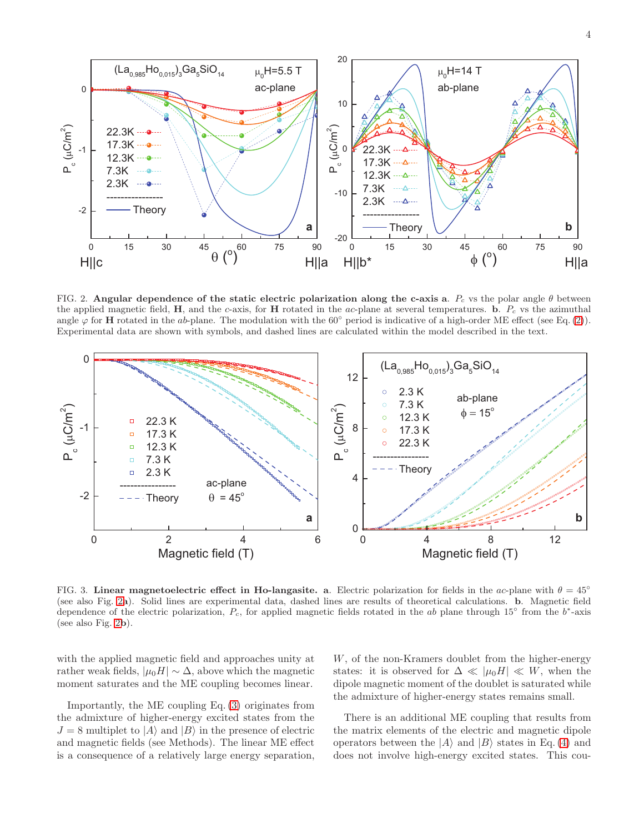

<span id="page-3-0"></span>FIG. 2. Angular dependence of the static electric polarization along the c-axis a.  $P_c$  vs the polar angle  $\theta$  between the applied magnetic field,  $H$ , and the c-axis, for  $H$  rotated in the ac-plane at several temperatures. b.  $P_c$  vs the azimuthal angle  $\varphi$  for **H** rotated in the ab-plane. The modulation with the 60 $\degree$  period is indicative of a high-order ME effect (see Eq. [\(2\)](#page-1-1)). Experimental data are shown with symbols, and dashed lines are calculated within the model described in the text.



<span id="page-3-1"></span>FIG. 3. Linear magnetoelectric effect in Ho-langasite. a. Electric polarization for fields in the ac-plane with  $\theta = 45°$ (see also Fig. [2](#page-3-0)a). Solid lines are experimental data, dashed lines are results of theoretical calculations. b. Magnetic field dependence of the electric polarization,  $P_c$ , for applied magnetic fields rotated in the ab plane through 15° from the b<sup>\*</sup>-axis (see also Fig. [2](#page-3-0)b).

with the applied magnetic field and approaches unity at rather weak fields,  $|\mu_0 H| \sim \Delta$ , above which the magnetic moment saturates and the ME coupling becomes linear.

Importantly, the ME coupling Eq. [\(3\)](#page-1-2) originates from the admixture of higher-energy excited states from the  $J = 8$  multiplet to  $|A\rangle$  and  $|B\rangle$  in the presence of electric and magnetic fields (see Methods). The linear ME effect is a consequence of a relatively large energy separation,

W, of the non-Kramers doublet from the higher-energy states: it is observed for  $\Delta \ll |\mu_0 H| \ll W$ , when the dipole magnetic moment of the doublet is saturated while the admixture of higher-energy states remains small.

There is an additional ME coupling that results from the matrix elements of the electric and magnetic dipole operators between the  $|A\rangle$  and  $|B\rangle$  states in Eq. [\(4\)](#page-2-2) and does not involve high-energy excited states. This cou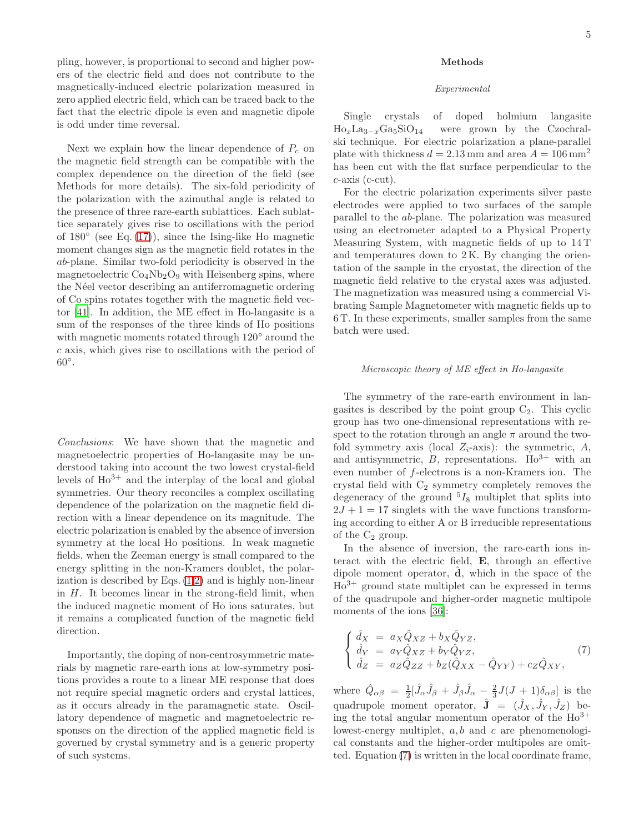pling, however, is proportional to second and higher powers of the electric field and does not contribute to the magnetically-induced electric polarization measured in zero applied electric field, which can be traced back to the fact that the electric dipole is even and magnetic dipole is odd under time reversal.

Next we explain how the linear dependence of  $P_c$  on the magnetic field strength can be compatible with the complex dependence on the direction of the field (see Methods for more details). The six-fold periodicity of the polarization with the azimuthal angle is related to the presence of three rare-earth sublattices. Each sublattice separately gives rise to oscillations with the period of 180◦ (see Eq. [\(17\)](#page-6-17)), since the Ising-like Ho magnetic moment changes sign as the magnetic field rotates in the ab-plane. Similar two-fold periodicity is observed in the magnetoelectric  $Co<sub>4</sub>Nb<sub>2</sub>O<sub>9</sub>$  with Heisenberg spins, where the Néel vector describing an antiferromagnetic ordering of Co spins rotates together with the magnetic field vector [\[41](#page-7-15)]. In addition, the ME effect in Ho-langasite is a sum of the responses of the three kinds of Ho positions with magnetic moments rotated through 120◦ around the c axis, which gives rise to oscillations with the period of  $60^{\circ}$ .

Conclusions: We have shown that the magnetic and magnetoelectric properties of Ho-langasite may be understood taking into account the two lowest crystal-field levels of  $Ho^{3+}$  and the interplay of the local and global symmetries. Our theory reconciles a complex oscillating dependence of the polarization on the magnetic field direction with a linear dependence on its magnitude. The electric polarization is enabled by the absence of inversion symmetry at the local Ho positions. In weak magnetic fields, when the Zeeman energy is small compared to the energy splitting in the non-Kramers doublet, the polarization is described by Eqs.  $(1,2)$  $(1,2)$  and is highly non-linear in  $H$ . It becomes linear in the strong-field limit, when the induced magnetic moment of Ho ions saturates, but it remains a complicated function of the magnetic field direction.

Importantly, the doping of non-centrosymmetric materials by magnetic rare-earth ions at low-symmetry positions provides a route to a linear ME response that does not require special magnetic orders and crystal lattices, as it occurs already in the paramagnetic state. Oscillatory dependence of magnetic and magnetoelectric responses on the direction of the applied magnetic field is governed by crystal symmetry and is a generic property of such systems.

## Methods

#### Experimental

Single crystals of doped holmium langasite  $Ho_xLa_{3-x}Ga_5SiO_{14}$  were grown by the Czochralski technique. For electric polarization a plane-parallel plate with thickness  $d = 2.13$  mm and area  $A = 106$  mm<sup>2</sup> has been cut with the flat surface perpendicular to the  $c$ -axis ( $c$ -cut).

For the electric polarization experiments silver paste electrodes were applied to two surfaces of the sample parallel to the ab-plane. The polarization was measured using an electrometer adapted to a Physical Property Measuring System, with magnetic fields of up to 14 T and temperatures down to 2 K. By changing the orientation of the sample in the cryostat, the direction of the magnetic field relative to the crystal axes was adjusted. The magnetization was measured using a commercial Vibrating Sample Magnetometer with magnetic fields up to 6 T. In these experiments, smaller samples from the same batch were used.

### Microscopic theory of ME effect in Ho-langasite

The symmetry of the rare-earth environment in langasites is described by the point group  $C_2$ . This cyclic group has two one-dimensional representations with respect to the rotation through an angle  $\pi$  around the twofold symmetry axis (local  $Z_i$ -axis): the symmetric, A, and antisymmetric,  $B$ , representations.  $Ho^{3+}$  with an even number of f-electrons is a non-Kramers ion. The crystal field with  $C_2$  symmetry completely removes the degeneracy of the ground  ${}^{5}I_{8}$  multiplet that splits into  $2J + 1 = 17$  singlets with the wave functions transforming according to either A or B irreducible representations of the  $C_2$  group.

In the absence of inversion, the rare-earth ions interact with the electric field, E, through an effective dipole moment operator,  $\hat{d}$ , which in the space of the  $Ho^{3+}$  ground state multiplet can be expressed in terms of the quadrupole and higher-order magnetic multipole moments of the ions [\[36](#page-7-12)]:

<span id="page-4-0"></span>
$$
\begin{cases}\n\hat{d}_X = a_X \hat{Q}_{XZ} + b_X \hat{Q}_{YZ}, \n\hat{d}_Y = a_Y \hat{Q}_{XZ} + b_Y \hat{Q}_{YZ}, \n\hat{d}_Z = a_Z \hat{Q}_{ZZ} + b_Z (\hat{Q}_{XX} - \hat{Q}_{YY}) + c_Z \hat{Q}_{XY},\n\end{cases}
$$
\n(7)

where  $\hat{Q}_{\alpha\beta} = \frac{1}{2} [\hat{J}_{\alpha}\hat{J}_{\beta} + \hat{J}_{\beta}\hat{J}_{\alpha} - \frac{2}{3}J(J+1)\delta_{\alpha\beta}]$  is the quadrupole moment operator,  $\hat{\mathbf{J}} = (\hat{J}_X, \hat{J}_Y, \hat{J}_Z)$  being the total angular momentum operator of the  $Ho^{3+}$ lowest-energy multiplet,  $a, b$  and  $c$  are phenomenological constants and the higher-order multipoles are omitted. Equation [\(7\)](#page-4-0) is written in the local coordinate frame,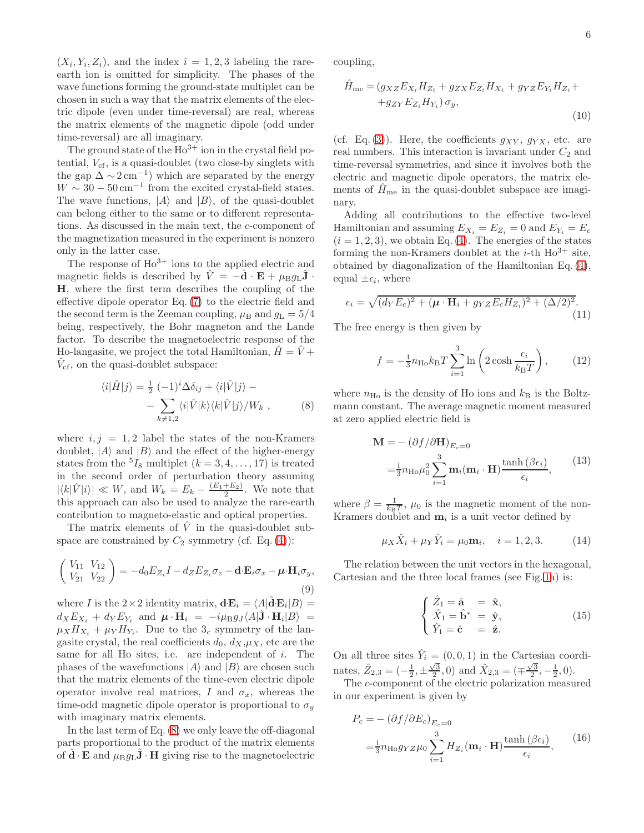$(X_i, Y_i, Z_i)$ , and the index  $i = 1, 2, 3$  labeling the rareearth ion is omitted for simplicity. The phases of the wave functions forming the ground-state multiplet can be chosen in such a way that the matrix elements of the electric dipole (even under time-reversal) are real, whereas the matrix elements of the magnetic dipole (odd under time-reversal) are all imaginary.

The ground state of the  $Ho^{3+}$  ion in the crystal field potential,  $V_{cf}$ , is a quasi-doublet (two close-by singlets with the gap  $\Delta \sim 2 \,\mathrm{cm}^{-1}$ ) which are separated by the energy  $W \sim 30 - 50 \,\mathrm{cm}^{-1}$  from the excited crystal-field states. The wave functions,  $|A\rangle$  and  $|B\rangle$ , of the quasi-doublet can belong either to the same or to different representations. As discussed in the main text, the c-component of the magnetization measured in the experiment is nonzero only in the latter case.

The response of  $Ho^{3+}$  ions to the applied electric and magnetic fields is described by  $\hat{V} = -\hat{\mathbf{d}} \cdot \mathbf{E} + \mu_{\text{B}} g_{\text{L}} \hat{\mathbf{J}} \cdot$ H, where the first term describes the coupling of the effective dipole operator Eq. [\(7\)](#page-4-0) to the electric field and the second term is the Zeeman coupling,  $\mu_B$  and  $g_L = 5/4$ being, respectively, the Bohr magneton and the Lande factor. To describe the magnetoelectric response of the Ho-langularities, we project the total Hamiltonian,  $\hat{H} = \hat{V} +$  $\hat{V}_{cf}$ , on the quasi-doublet subspace:

<span id="page-5-0"></span>
$$
\langle i|\hat{H}|j\rangle = \frac{1}{2} \left(-1\right)^i \Delta \delta_{ij} + \langle i|\hat{V}|j\rangle - \n- \sum_{k \neq 1,2} \langle i|\hat{V}|k\rangle \langle k|\hat{V}|j\rangle / W_k \,, \tag{8}
$$

where  $i, j = 1, 2$  label the states of the non-Kramers doublet,  $|A\rangle$  and  $|B\rangle$  and the effect of the higher-energy states from the  ${}^{5}I_{8}$  multiplet  $(k = 3, 4, ..., 17)$  is treated in the second order of perturbation theory assuming  $|\langle k|\hat{V}|i\rangle| \ll W$ , and  $W_k = E_k - \frac{(E_1+E_2)}{2}$  $\frac{+E_2}{2}$ . We note that this approach can also be used to analyze the rare-earth contribution to magneto-elastic and optical properties.

The matrix elements of  $\hat{V}$  in the quasi-doublet subspace are constrained by  $C_2$  symmetry (cf. Eq. [\(4\)](#page-2-2)):

<span id="page-5-2"></span>
$$
\begin{pmatrix} V_{11} & V_{12} \\ V_{21} & V_{22} \end{pmatrix} = -d_0 E_{Z_i} I - d_Z E_{Z_i} \sigma_z - \mathbf{d} \cdot \mathbf{E}_i \sigma_x - \boldsymbol{\mu} \cdot \mathbf{H}_i \sigma_y,
$$
\n(9)

where *I* is the  $2 \times 2$  identity matrix,  $\mathbf{d} \cdot \mathbf{E}_i = \langle A | \hat{\mathbf{d}} \cdot \mathbf{E}_i | B \rangle =$  $d_X E_{X_i} + d_Y E_{Y_i}$  and  $\boldsymbol{\mu} \cdot \mathbf{H}_i = -i \mu_\text{B} g_J \langle A | \hat{\mathbf{J}} \cdot \mathbf{H}_i | B \rangle =$  $\mu_X H_{X_i} + \mu_Y H_{Y_i}$ . Due to the 3<sub>c</sub> symmetry of the langasite crystal, the real coefficients  $d_0$ ,  $d_X, \mu_X$ , etc are the same for all Ho sites, i.e. are independent of i. The phases of the wavefunctions  $|A\rangle$  and  $|B\rangle$  are chosen such that the matrix elements of the time-even electric dipole operator involve real matrices, I and  $\sigma_x$ , whereas the time-odd magnetic dipole operator is proportional to  $\sigma_y$ with imaginary matrix elements.

In the last term of Eq. [\(8\)](#page-5-0) we only leave the off-diagonal parts proportional to the product of the matrix elements of  $\mathbf{d} \cdot \mathbf{E}$  and  $\mu_{\text{B}}g_{\text{L}}\mathbf{J} \cdot \mathbf{H}$  giving rise to the magnetoelectric

coupling,

$$
\hat{H}_{\text{me}} = (g_{XZ}E_{X_i}H_{Z_i} + g_{ZX}E_{Z_i}H_{X_i} + g_{YZ}E_{Y_i}H_{Z_i} ++g_{ZY}E_{Z_i}H_{Y_i})\sigma_y,
$$
\n(10)

(cf. Eq. [\(3\)](#page-1-2)). Here, the coefficients  $g_{XY}$ ,  $g_{YX}$ , etc. are real numbers. This interaction is invariant under  $C_2$  and time-reversal symmetries, and since it involves both the electric and magnetic dipole operators, the matrix elements of  $\hat{H}_{\text{me}}$  in the quasi-doublet subspace are imaginary.

Adding all contributions to the effective two-level Hamiltonian and assuming  $E_{X_i} = E_{Z_i} = 0$  and  $E_{Y_i} = E_c$  $(i = 1, 2, 3)$ , we obtain Eq. [\(4\)](#page-2-2). The energies of the states forming the non-Kramers doublet at the *i*-th  $Ho^{3+}$  site, obtained by diagonalization of the Hamiltonian Eq. [\(4\)](#page-2-2), equal  $\pm \epsilon_i$ , where

<span id="page-5-1"></span>
$$
\epsilon_i = \sqrt{(d_Y E_c)^2 + (\boldsymbol{\mu} \cdot \mathbf{H}_i + g_{YZ} E_c H_{Z_i})^2 + (\Delta/2)^2}.
$$
\n(11)

The free energy is then given by

$$
f = -\frac{1}{3}n_{\text{Ho}}k_{\text{B}}T\sum_{i=1}^{3}\ln\left(2\cosh\frac{\epsilon_i}{k_{\text{B}}T}\right),\qquad(12)
$$

where  $n_{\text{Ho}}$  is the density of Ho ions and  $k_{\text{B}}$  is the Boltzmann constant. The average magnetic moment measured at zero applied electric field is

$$
\mathbf{M} = -(\partial f/\partial \mathbf{H})_{E_c=0}
$$
  
=  $\frac{1}{3} n_{\text{Ho}} \mu_0^2 \sum_{i=1}^3 \mathbf{m}_i (\mathbf{m}_i \cdot \mathbf{H}) \frac{\tanh(\beta \epsilon_i)}{\epsilon_i},$  (13)

where  $\beta = \frac{1}{k_B T}$ ,  $\mu_0$  is the magnetic moment of the non-Kramers doublet and  $m_i$  is a unit vector defined by

$$
\mu_X \hat{X}_i + \mu_Y \hat{Y}_i = \mu_0 \mathbf{m}_i, \quad i = 1, 2, 3. \tag{14}
$$

The relation between the unit vectors in the hexagonal, Cartesian and the three local frames (see Fig. [1a](#page-2-0)) is:

$$
\begin{cases}\n\hat{Z}_1 = \hat{\mathbf{a}} = \hat{\mathbf{x}},\\ \n\hat{X}_1 = \hat{\mathbf{b}}^* = \hat{\mathbf{y}},\\ \n\hat{Y}_1 = \hat{\mathbf{c}} = \hat{\mathbf{z}}.\n\end{cases}
$$
\n(15)

On all three sites  $\hat{Y}_i = (0, 0, 1)$  in the Cartesian coordinates,  $\hat{Z}_{2,3} = \left(-\frac{1}{2}, \pm \frac{\sqrt{3}}{2}, 0\right)$  and  $\hat{X}_{2,3} = \left(\mp \frac{\sqrt{3}}{2}, -\frac{1}{2}, 0\right)$ .

The c-component of the electric polarization measured in our experiment is given by

$$
P_c = -(\partial f/\partial E_c)_{E_c=0}
$$
  
=  $\frac{1}{3} n_{\text{Ho}} g_{YZ} \mu_0 \sum_{i=1}^3 H_{Z_i} (\mathbf{m}_i \cdot \mathbf{H}) \frac{\tanh(\beta \epsilon_i)}{\epsilon_i},$  (16)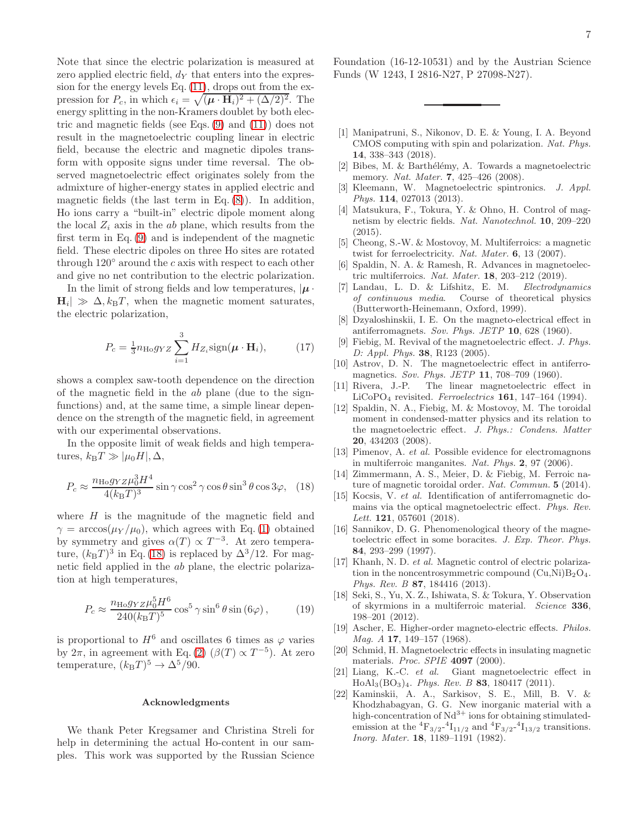Note that since the electric polarization is measured at zero applied electric field,  $d<sub>Y</sub>$  that enters into the expression for the energy levels Eq. [\(11\)](#page-5-1), drops out from the expression for  $P_c$ , in which  $\epsilon_i = \sqrt{(\boldsymbol{\mu} \cdot \mathbf{H}_i)^2 + (\Delta/2)^2}$ . The energy splitting in the non-Kramers doublet by both electric and magnetic fields (see Eqs. [\(9\)](#page-5-2) and [\(11\)](#page-5-1)) does not result in the magnetoelectric coupling linear in electric field, because the electric and magnetic dipoles transform with opposite signs under time reversal. The observed magnetoelectric effect originates solely from the admixture of higher-energy states in applied electric and magnetic fields (the last term in Eq.  $(8)$ ). In addition, Ho ions carry a "built-in" electric dipole moment along the local  $Z_i$  axis in the ab plane, which results from the first term in Eq. [\(9\)](#page-5-2) and is independent of the magnetic field. These electric dipoles on three Ho sites are rotated through  $120°$  around the c axis with respect to each other and give no net contribution to the electric polarization.

In the limit of strong fields and low temperatures,  $|\mu|$ .  $|\mathbf{H}_i| \gg \Delta, k_\text{B}T$ , when the magnetic moment saturates, the electric polarization,

<span id="page-6-17"></span>
$$
P_c = \frac{1}{3} n_{\text{Ho}} g_{YZ} \sum_{i=1}^{3} H_{Z_i} \text{sign}(\boldsymbol{\mu} \cdot \mathbf{H}_i), \quad (17)
$$

shows a complex saw-tooth dependence on the direction of the magnetic field in the ab plane (due to the signfunctions) and, at the same time, a simple linear dependence on the strength of the magnetic field, in agreement with our experimental observations.

In the opposite limit of weak fields and high temperatures,  $k_BT \gg |\mu_0 H|, \Delta$ ,

<span id="page-6-18"></span>
$$
P_c \approx \frac{n_{\text{H}\text{o}} g_{YZ} \mu_0^3 H^4}{4(k_{\text{B}} T)^3} \sin \gamma \cos^2 \gamma \cos \theta \sin^3 \theta \cos 3\varphi, \quad (18)
$$

where  $H$  is the magnitude of the magnetic field and  $\gamma = \arccos(\mu_Y/\mu_0)$ , which agrees with Eq. [\(1\)](#page-1-0) obtained by symmetry and gives  $\alpha(T) \propto T^{-3}$ . At zero temperature,  $(k_BT)^3$  in Eq. [\(18\)](#page-6-18) is replaced by  $\Delta^3/12$ . For magnetic field applied in the ab plane, the electric polarization at high temperatures,

$$
P_c \approx \frac{n_{\text{Ho}} g_{YZ} \mu_0^5 H^6}{240 (k_{\text{B}} T)^5} \cos^5 \gamma \sin^6 \theta \sin (6\varphi), \quad (19)
$$

is proportional to  $H^6$  and oscillates 6 times as  $\varphi$  varies by  $2\pi$ , in agreement with Eq. [\(2\)](#page-1-1) ( $\beta(T) \propto T^{-5}$ ). At zero temperature,  $(k_BT)^5 \rightarrow \Delta^5/90$ .

#### Acknowledgments

We thank Peter Kregsamer and Christina Streli for help in determining the actual Ho-content in our samples. This work was supported by the Russian Science Foundation (16-12-10531) and by the Austrian Science Funds (W 1243, I 2816-N27, P 27098-N27).

- <span id="page-6-0"></span>[1] Manipatruni, S., Nikonov, D. E. & Young, I. A. Beyond CMOS computing with spin and polarization. Nat. Phys. 14, 338–343 (2018).
- <span id="page-6-1"></span>[2] Bibes, M. & Barthélémy, A. Towards a magnetoelectric memory. Nat. Mater. **7**, 425-426 (2008).
- [3] Kleemann, W. Magnetoelectric spintronics. J. Appl. Phys. **114**, 027013 (2013).
- [4] Matsukura, F., Tokura, Y. & Ohno, H. Control of magnetism by electric fields. Nat. Nanotechnol. 10, 209–220 (2015).
- [5] Cheong, S.-W. & Mostovoy, M. Multiferroics: a magnetic twist for ferroelectricity. Nat. Mater. 6, 13 (2007).
- <span id="page-6-2"></span>[6] Spaldin, N. A. & Ramesh, R. Advances in magnetoelectric multiferroics. Nat. Mater. 18, 203–212 (2019).
- <span id="page-6-3"></span>[7] Landau, L. D. & Lifshitz, E. M. Electrodynamics of continuous media. Course of theoretical physics (Butterworth-Heinemann, Oxford, 1999).
- [8] Dzyaloshinskii, I. E. On the magneto-electrical effect in antiferromagnets. Sov. Phys. JETP 10, 628 (1960).
- <span id="page-6-4"></span>[9] Fiebig, M. Revival of the magnetoelectric effect. J. Phys. D: Appl. Phys. 38, R123 (2005).
- <span id="page-6-5"></span>[10] Astrov, D. N. The magnetoelectric effect in antiferromagnetics. Sov. Phys. JETP 11, 708–709 (1960).
- <span id="page-6-6"></span>[11] Rivera, J.-P. The linear magnetoelectric effect in LiCoPO<sup>4</sup> revisited. Ferroelectrics 161, 147–164 (1994).
- <span id="page-6-7"></span>[12] Spaldin, N. A., Fiebig, M. & Mostovoy, M. The toroidal moment in condensed-matter physics and its relation to the magnetoelectric effect. J. Phys.: Condens. Matter 20, 434203 (2008).
- <span id="page-6-8"></span>[13] Pimenov, A. et al. Possible evidence for electromagnons in multiferroic manganites. Nat. Phys. 2, 97 (2006).
- [14] Zimmermann, A. S., Meier, D. & Fiebig, M. Ferroic nature of magnetic toroidal order. Nat. Commun. 5 (2014).
- <span id="page-6-9"></span>[15] Kocsis, V. et al. Identification of antiferromagnetic domains via the optical magnetoelectric effect. Phys. Rev. Lett. **121**, 057601 (2018).
- <span id="page-6-10"></span>[16] Sannikov, D. G. Phenomenological theory of the magnetoelectric effect in some boracites. J. Exp. Theor. Phys. 84, 293–299 (1997).
- <span id="page-6-11"></span>[17] Khanh, N. D. et al. Magnetic control of electric polarization in the noncentrosymmetric compound  $(Cu,Ni)B_2O_4$ . Phys. Rev. B 87, 184416 (2013).
- <span id="page-6-12"></span>[18] Seki, S., Yu, X. Z., Ishiwata, S. & Tokura, Y. Observation of skyrmions in a multiferroic material. Science 336, 198–201 (2012).
- <span id="page-6-13"></span>[19] Ascher, E. Higher-order magneto-electric effects. Philos. Mag. A 17, 149-157 (1968).
- <span id="page-6-14"></span>[20] Schmid, H. Magnetoelectric effects in insulating magnetic materials. *Proc. SPIE* 4097 (2000).
- <span id="page-6-15"></span>[21] Liang, K.-C. et al. Giant magnetoelectric effect in HoAl3(BO3)4. Phys. Rev. B 83, 180417 (2011).
- <span id="page-6-16"></span>[22] Kaminskii, A. A., Sarkisov, S. E., Mill, B. V. & Khodzhabagyan, G. G. New inorganic material with a high-concentration of  $Nd^{3+}$  ions for obtaining stimulatedemission at the  ${}^{4}F_{3/2}$ - ${}^{4}I_{11/2}$  and  ${}^{4}F_{3/2}$ - ${}^{4}I_{13/2}$  transitions. Inorg. Mater. 18, 1189–1191 (1982).